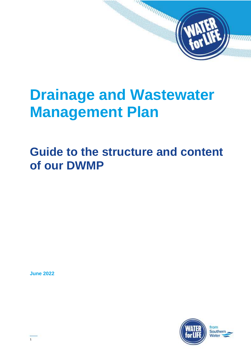# **Drainage and Wastewater Management Plan**

# **Guide to the structure and content of our DWMP**

**June 2022**

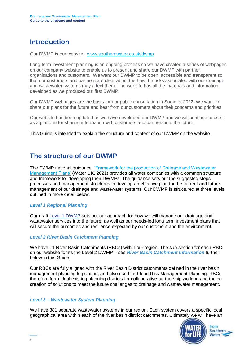# **Introduction**

Our DWMP is our website: [www.southernwater.co.uk/dwmp](http://www.southernwater.co.uk/dwmp)

Long-term investment planning is an ongoing process so we have created a series of webpages on our company website to enable us to present and share our DWMP with partner organisations and customers. We want our DWMP to be open, accessible and transparent so that our customers and partners are clear about the how the risks associated with our drainage and wastewater systems may affect them. The website has all the materials and information developed as we produced our first DWMP.

Our DWMP webpages are the basis for our public consultation in Summer 2022. We want to share our plans for the future and hear from our customers about their concerns and priorities.

Our website has been updated as we have developed our DWMP and we will continue to use it as a platform for sharing information with customers and partners into the future.

This Guide is intended to explain the structure and content of our DWMP on the website.

### **The structure of our DWMP**

The DWMP national guidance 'Framework for the production of Drainage and Wastewater [Management Plans'](https://www.water.org.uk/wp-content/uploads/2021/10/DWMP_Framework_Report_Main_Report_September_2021.pdf) (Water UK, 2021) provides all water companies with a common structure and framework for developing their DWMPs. The guidance sets out the suggested steps, processes and management structures to develop an effective plan for the current and future management of our drainage and wastewater systems. Our DWMP is structured at three levels, outlined in more detail below.

#### *Level 1 Regional Planning*

Our draft [Level 1 DWMP](https://www.southernwater.co.uk/media/6986/draft-drainage-and-wastewater-management-plan.pdf) sets out our approach for how we will manage our drainage and wastewater services into the future, as well as our needs-led long term investment plans that will secure the outcomes and resilience expected by our customers and the environment.

#### *Level 2 River Basin Catchment Planning*

We have 11 River Basin Catchments (RBCs) within our region. The sub-section for each RBC on our website forms the Level 2 DWMP – see *River Basin Catchment Information* further below in this Guide.

Our RBCs are fully aligned with the River Basin District catchments defined in the river basin management planning legislation, and also used for Flood Risk Management Planning. RBCs therefore form ideal existing planning districts for collaborative partnership working and the cocreation of solutions to meet the future challenges to drainage and wastewater management.

#### *Level 3 – Wastewater System Planning*

We have 381 separate wastewater systems in our region. Each system covers a specific local geographical area within each of the river basin district catchments. Ultimately we will have an

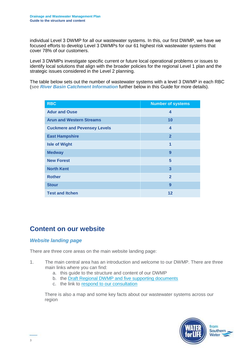individual Level 3 DWMP for all our wastewater systems. In this, our first DWMP, we have we focused efforts to develop Level 3 DWMPs for our 61 highest risk wastewater systems that cover 78% of our customers.

Level 3 DWMPs investigate specific current or future local operational problems or issues to identify local solutions that align with the broader policies for the regional Level 1 plan and the strategic issues considered in the Level 2 planning.

The table below sets out the number of wastewater systems with a level 3 DWMP in each RBC (see *River Basin Catchment Information* further below in this Guide for more details).

| <b>RBC</b>                          | <b>Number of systems</b> |
|-------------------------------------|--------------------------|
| <b>Adur and Ouse</b>                | 4                        |
| <b>Arun and Western Streams</b>     | 10                       |
| <b>Cuckmere and Pevensey Levels</b> | $\boldsymbol{4}$         |
| <b>East Hampshire</b>               | $\overline{2}$           |
| <b>Isle of Wight</b>                | 1                        |
| <b>Medway</b>                       | 9                        |
| <b>New Forest</b>                   | 5                        |
| <b>North Kent</b>                   | 3                        |
| <b>Rother</b>                       | $\overline{2}$           |
| <b>Stour</b>                        | 9                        |
| <b>Test and Itchen</b>              | 12                       |

## **Content on our website**

#### *Website landing page*

There are three core areas on the main website landing page:

- 1. The main central area has an introduction and welcome to our DWMP. There are three main links where you can find:
	- a. this guide to the structure and content of our DWMP
	- b. the [Draft Regional DWMP and five supporting documents](https://www.southernwater.co.uk/dwmp/our-regional-dwmp)
	- c. the link to [respond to our consultation](https://www.southernwater.co.uk/dwmp/have-your-say)

There is also a map and some key facts about our wastewater systems across our region

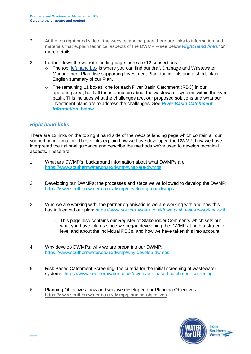- 2. At the top right hand side of the website landing page there are links to information and materials that explain technical aspects of the DWMP – see below *Right hand links* for more details.
- 3. Further down the website landing page there are 12 subsections:
	- $\circ$  The top, [left hand box](https://www.southernwater.co.uk/dwmp/our-regional-dwmp) is where you can find our draft Drainage and Wastewater Management Plan, five supporting Investment Plan documents and a short, plain English summary of our Plan.
	- $\circ$  The remaining 11 boxes, one for each River Basin Catchment (RBC) in our operating area, hold all the information about the wastewater systems within the river basin. This includes what the challenges are, our proposed solutions and what our investment plans are to address the challenges. See *River Basin Catchment Information***, below**.

#### *Right hand links*

There are 12 links on the top right hand side of the website landing page which contain all our supporting information. These links explain how we have developed the DWMP, how we have interpreted the national guidance and describe the methods we've used to develop technical aspects. These are:

- 1. What are DWMP's: background information about what DWMPs are: <https://www.southernwater.co.uk/dwmp/what-are-dwmps>
- 2. Developing our DWMPs: the processes and steps we've followed to develop the DWMP: <https://www.southernwater.co.uk/dwmp/developing-our-dwmps>
- 3. Who we are working with: the partner organisations we are working with and how this has influenced our plan:<https://www.southernwater.co.uk/dwmp/who-we-re-working-with>
	- $\circ$  This page also contains our Register of Stakeholder Comments which sets out what you have told us since we began developing the DWMP at both a strategic level and about the individual RBCs, and how we have taken this into account.
- 4. Why develop DWMPs: why we are preparing our DWMP: <https://www.southernwater.co.uk/dwmp/why-develop-dwmps>
- 5. Risk Based Catchment Screening: the criteria for the initial screening of wastewater systems: <https://www.southernwater.co.uk/dwmp/risk-based-catchment-screening>
- 6. Planning Objectives: how and why we developed our Planning Objectives: <https://www.southernwater.co.uk/dwmp/planning-objectives>

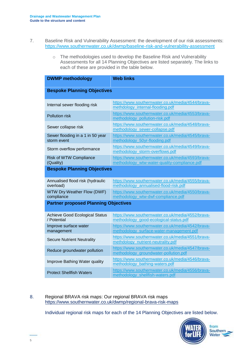- 7. Baseline Risk and Vulnerability Assessment: the development of our risk assessments: <https://www.southernwater.co.uk/dwmp/baseline-risk-and-vulnerability-assessment>
	- o The methodologies used to develop the Baseline Risk and Vulnerability Assessments for all 14 Planning Objectives are listed separately. The links to each of these are provided in the table below.

| <b>DWMP methodology</b>                              | <b>Web links</b>                                                                                  |  |
|------------------------------------------------------|---------------------------------------------------------------------------------------------------|--|
| <b>Bespoke Planning Objectives</b>                   |                                                                                                   |  |
| Internal sewer flooding risk                         | https://www.southernwater.co.uk/media/4544/brava-<br>methdology_internal-flooding.pdf             |  |
| <b>Pollution risk</b>                                | https://www.southernwater.co.uk/media/4553/brava-<br>methodology_pollution-risk.pdf               |  |
| Sewer collapse risk                                  | https://www.southernwater.co.uk/media/4548/brava-<br>methodology_sewer-collapse.pdf               |  |
| Sewer flooding in a 1 in 50 year<br>storm event      | https://www.southernwater.co.uk/media/4545/brava-<br>methodology 50yr-flooding.pdf                |  |
| Storm overflow performance                           | https://www.southernwater.co.uk/media/4549/brava-<br>methodology_storm-overflows.pdf              |  |
| <b>Risk of WTW Compliance</b><br>(Quality)           | https://www.southernwater.co.uk/media/4593/brava-<br>methodology_wtw-water-quality-compliance.pdf |  |
| <b>Bespoke Planning Objectives</b>                   |                                                                                                   |  |
| Annualised flood risk (hydraulic<br>overload)        | https://www.southernwater.co.uk/media/4555/brava-<br>methodology annualised-flood-risk.pdf        |  |
| <b>WTW Dry Weather Flow (DWF)</b><br>compliance      | https://www.southernwater.co.uk/media/4550/brava-<br>methodology_wtw-dwf-compliance.pdf           |  |
| <b>Partner proposed Planning Objectives</b>          |                                                                                                   |  |
| <b>Achieve Good Ecological Status</b><br>/ Potential | https://www.southernwater.co.uk/media/4552/brava-<br>methodology_good-ecological-status.pdf       |  |
| Improve surface water<br>management                  | https://www.southernwater.co.uk/media/4542/brava-<br>methodology_surface-water-management.pdf     |  |
| <b>Secure Nutrient Neutrality</b>                    | https://www.southernwater.co.uk/media/4551/brava-<br>methdology_nutrient-neutrality.pdf           |  |
| Reduce groundwater pollution                         | https://www.southernwater.co.uk/media/4547/brava-<br>methodology_groundwater-pollution.pdf        |  |
| Improve Bathing Water quality                        | https://www.southernwater.co.uk/media/4546/brava-<br>methodology_bathing-waters.pdf               |  |
| <b>Protect Shellfish Waters</b>                      | https://www.southernwater.co.uk/media/4556/brava-<br>methodology shellfish-waters.pdf             |  |

8. Regional BRAVA risk maps: Our regional BRAVA risk maps <https://www.southernwater.co.uk/dwmp/regional-brava-risk-maps>

Individual regional risk maps for each of the 14 Planning Objectives are listed below.

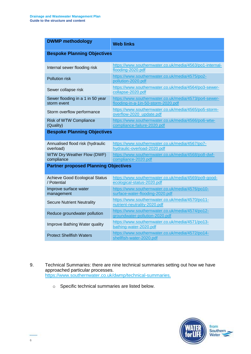| <b>DWMP methodology</b>                              | <b>Web links</b>                                                                             |  |
|------------------------------------------------------|----------------------------------------------------------------------------------------------|--|
| <b>Bespoke Planning Objectives</b>                   |                                                                                              |  |
| Internal sewer flooding risk                         | https://www.southernwater.co.uk/media/4563/po1-internal-<br>flooding-2020.pdf                |  |
| <b>Pollution risk</b>                                | https://www.southernwater.co.uk/media/4575/po2-<br>pollution-2020.pdf                        |  |
| Sewer collapse risk                                  | https://www.southernwater.co.uk/media/4564/po3-sewer-<br>collapse-2020.pdf                   |  |
| Sewer flooding in a 1 in 50 year<br>storm event      | https://www.southernwater.co.uk/media/4573/po4-sewer-<br>flooding-in-a-1in-50-storm-2020.pdf |  |
| Storm overflow performance                           | https://www.southernwater.co.uk/media/4565/po5-storm-<br>overflow-2020 update.pdf            |  |
| <b>Risk of WTW Compliance</b><br>(Quality)           | https://www.southernwater.co.uk/media/4566/po6-wtw-<br>compliance-failure-2020.pdf           |  |
| <b>Bespoke Planning Objectives</b>                   |                                                                                              |  |
| Annualised flood risk (hydraulic<br>overload)        | https://www.southernwater.co.uk/media/4567/po7-<br>hydraulic-overload-2020.pdf               |  |
| <b>WTW Dry Weather Flow (DWF)</b><br>compliance      | https://www.southernwater.co.uk/media/4568/po8-dwf-<br>compliance-2020.pdf                   |  |
| <b>Partner proposed Planning Objectives</b>          |                                                                                              |  |
| <b>Achieve Good Ecological Status</b><br>/ Potential | https://www.southernwater.co.uk/media/4569/po9-good-<br>ecological-status-2020.pdf           |  |
| Improve surface water<br>management                  | https://www.southernwater.co.uk/media/4576/po10-<br>surface-water-flooding-2020.pdf          |  |
| <b>Secure Nutrient Neutrality</b>                    | https://www.southernwater.co.uk/media/4570/po11-<br>nutrient-neutrality-2020.pdf             |  |
| Reduce groundwater pollution                         | https://www.southernwater.co.uk/media/4574/po12-<br>groundwater-pollution-2020.pdf           |  |
| Improve Bathing Water quality                        | https://www.southernwater.co.uk/media/4571/po13-<br>bathing-water-2020.pdf                   |  |
| <b>Protect Shellfish Waters</b>                      | https://www.southernwater.co.uk/media/4572/po14-<br>shellfish-water-2020.pdf                 |  |

- 9. Technical Summaries: there are nine technical summaries setting out how we have approached particular processes. [https://www.southernwater.co.uk/dwmp/technical-summaries.](https://www.southernwater.co.uk/dwmp/technical-summaries)
	- o Specific technical summaries are listed below.

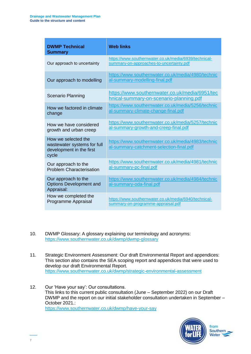| <b>DWMP Technical</b><br><b>Summary</b>                                                 | <b>Web links</b>                                                                                  |
|-----------------------------------------------------------------------------------------|---------------------------------------------------------------------------------------------------|
| Our approach to uncertainty                                                             | https://www.southernwater.co.uk/media/6939/technical-<br>summary-on-approaches-to-uncertainty.pdf |
| Our approach to modelling                                                               | https://www.southernwater.co.uk/media/4980/technic<br>al-summary-modelling-final.pdf              |
| <b>Scenario Planning</b>                                                                | https://www.southernwater.co.uk/media/6951/tec<br>hnical-summary-on-scenario-planning.pdf         |
| How we factored in climate<br>change                                                    | https://www.southernwater.co.uk/media/5256/technic<br>al-summary-climate-change-final.pdf         |
| How we have considered<br>growth and urban creep                                        | https://www.southernwater.co.uk/media/5257/technic<br>al-summary-growth-and-creep-final.pdf       |
| How we selected the<br>wastewater systems for full<br>development in the first<br>cycle | https://www.southernwater.co.uk/media/4983/technic<br>al-summary-catchment-selection-final.pdf    |
| Our approach to the<br><b>Problem Characterisation</b>                                  | https://www.southernwater.co.uk/media/4981/technic<br>al-summary-pc-final.pdf                     |
| Our approach to the<br><b>Options Development and</b><br>Appraisal:                     | https://www.southernwater.co.uk/media/4984/technic<br>al-summary-oda-final.pdf                    |
| How we completed the<br>Programme Appraisal                                             | https://www.southernwater.co.uk/media/6940/technical-<br>summary-on-programme-appraisal.pdf       |

- 10. DWMP Glossary: A glossary explaining our terminology and acronyms: <https://www.southernwater.co.uk/dwmp/dwmp-glossary>
- 11. Strategic Environment Assessment: Our draft Environmental Report and appendices: This section also contains the SEA scoping report and appendices that were used to develop our draft Environmental Report. <https://www.southernwater.co.uk/dwmp/strategic-environmental-assessment>
- 12. Our 'Have your say': Our consultations. This links to this current public consultation (June – September 2022) on our Draft DWMP and the report on our initial stakeholder consultation undertaken in September – October 2021.: <https://www.southernwater.co.uk/dwmp/have-your-say>

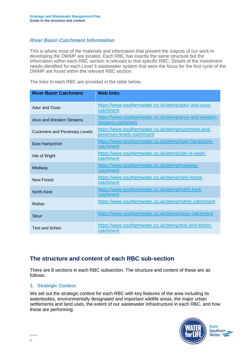#### *River Basin Catchment Information*

This is where most of the materials and information that present the outputs of our work in developing the DWMP are located. Each RBC has exactly the same structure but the information within each RBC section is relevant to that specific RBC. Details of the investment needs identified for each Level 3 wastewater system that were the focus for the first cycle of the DWMP are found within the relevant RBC section.

The links to each RBC are provided in the table below.

| <b>River Basin Catchment</b>        | <b>Web links</b>                                                                |
|-------------------------------------|---------------------------------------------------------------------------------|
| Adur and Ouse                       | https://www.southernwater.co.uk/dwmp/adur-and-ouse-<br>catchment                |
| <b>Arun and Western Streams</b>     | https://www.southernwater.co.uk/dwmp/arun-and-western-<br>streams-catchment     |
| <b>Cuckmere and Pevensey Levels</b> | https://www.southernwater.co.uk/dwmp/cuckmere-and-<br>pevensey-levels-catchment |
| <b>East Hampshire</b>               | https://www.southernwater.co.uk/dwmp/east-hampshire-<br>catchment               |
| Isle of Wight                       | https://www.southernwater.co.uk/dwmp/isle-of-wight-<br>catchment                |
| Medway                              | https://www.southernwater.co.uk/dwmp/medway-<br>catchment                       |
| <b>New Forest</b>                   | https://www.southernwater.co.uk/dwmp/new-forest-<br>catchment                   |
| <b>North Kent</b>                   | https://www.southernwater.co.uk/dwmp/north-kent-<br>catchment                   |
| Rother                              | https://www.southernwater.co.uk/dwmp/rother-catchment                           |
| Stour                               | https://www.southernwater.co.uk/dwmp/stour-catchment                            |
| Test and Itchen                     | https://www.southernwater.co.uk/dwmp/test-and-itchen-<br>catchment              |

#### **The structure and content of each RBC sub-section**

There are 8 sections in each RBC subsection. The structure and content of these are as follows:

#### **1. Strategic Context**

We set out the strategic context for each RBC with key features of the area including its waterbodies, environmentally designated and important wildlife areas, the major urban settlements and land uses, the extent of our wastewater infrastructure in each RBC, and how these are performing.

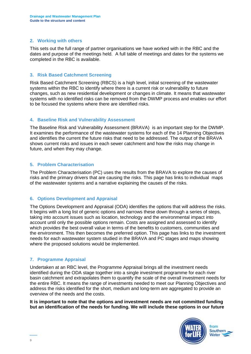#### **2. Working with others**

This sets out the full range of partner organisations we have worked with in the RBC and the dates and purpose of the meetings held. A full table of meetings and dates for the systems we completed in the RBC is available.

#### **3. Risk Based Catchment Screening**

Risk Based Catchment Screening (RBCS) is a high level, initial screening of the wastewater systems within the RBC to identify where there is a current risk or vulnerability to future changes, such as new residential development or changes in climate. It means that wastewater systems with no identified risks can be removed from the DWMP process and enables our effort to be focused the systems where there are identified risks.

#### **4. Baseline Risk and Vulnerability Assessment**

The Baseline Risk and Vulnerability Assessment (BRAVA) is an important step for the DWMP. It examines the performance of the wastewater systems for each of the 14 Planning Objectives and identifies the current the future risks that need to be addressed. The output of the BRAVA shows current risks and issues in each sewer catchment and how the risks may change in future, and when they may change.

#### **5. Problem Characterisation**

The Problem Characterisation (PC) uses the results from the BRAVA to explore the causes of risks and the primary drivers that are causing the risks. This page has links to individual maps of the wastewater systems and a narrative explaining the causes of the risks.

#### **6. Options Development and Appraisal**

The Options Development and Appraisal (ODA) identifies the options that will address the risks. It begins with a long list of generic options and narrows these down through a series of steps, taking into account issues such as location, technology and the environmental impact into account until only the possible options remain. Costs are assigned and assessed to identify which provides the best overall value in terms of the benefits to customers, communities and the environment. This then becomes the preferred option. This page has links to the investment needs for each wastewater system studied in the BRAVA and PC stages and maps showing where the proposed solutions would be implemented.

#### **7. Programme Appraisal**

Undertaken at an RBC level, the Programme Appraisal brings all the investment needs identified during the ODA stage together into a single investment programme for each river basin catchment and extrapolates them to quantify the scale of the overall investment needs for the entire RBC. It means the range of investments needed to meet our Planning Objectives and address the risks identified for the short, medium and long-term are aggregated to provide an overview of the needs and the costs.

**It is important to note that the options and investment needs are not committed funding but an identification of the needs for funding. We will include these options in our future**